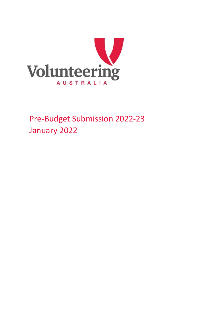

Pre-Budget Submission 2022-23 January 2022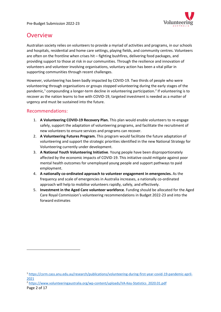

# Overview

Australian society relies on volunteers to provide a myriad of activities and programs, in our schools and hospitals, residential and home care settings, playing fields, and community centres. Volunteers are often on the frontline when crises hit – fighting bushfires, delivering food packages, and providing support to those at risk in our communities. Through the resilience and innovation of volunteers and volunteer involving organisations, voluntary action has been a vital pillar in supporting communities through recent challenges.

However, volunteering has been badly impacted by COVID-19. Two thirds of people who were volunteering through organisations or groups stopped volunteering during the early stages of the pandemic, [1](#page-1-0) compounding a longer-term decline in volunteering participation. [2](#page-1-1) If volunteering is to recover as the nation learns to live with COVID-19, targeted investment is needed as a matter of urgency and must be sustained into the future.

### Recommendations:

- 1. **A Volunteering COVID-19 Recovery Plan.** This plan would enable volunteers to re-engage safely, support the adaptation of volunteering programs, and facilitate the recruitment of new volunteers to ensure services and programs can recover.
- 2. **A Volunteering Futures Program.** This program would facilitate the future adaptation of volunteering and support the strategic priorities identified in the new National Strategy for Volunteering currently under development.
- 3. **A National Youth Volunteering Initiative**. Young people have been disproportionately affected by the economic impacts of COVID-19. This initiative could mitigate against poor mental health outcomes for unemployed young people and support pathways to paid employment.
- 4. **A nationally co-ordinated approach to volunteer engagement in emergencies.** As the frequency and scale of emergencies in Australia increases, a nationally co-ordinated approach will help to mobilise volunteers rapidly, safely, and effectively.
- 5. **Investment in the Aged Care volunteer workforce**. Funding should be allocated for the Aged Care Royal Commission's volunteering recommendations in Budget 2022-23 and into the forward estimates

<span id="page-1-0"></span><sup>1</sup> [https://csrm.cass.anu.edu.au/research/publications/volunteering-during-first-year-covid-19-pandemic-april-](https://csrm.cass.anu.edu.au/research/publications/volunteering-during-first-year-covid-19-pandemic-april-2021)[2021](https://csrm.cass.anu.edu.au/research/publications/volunteering-during-first-year-covid-19-pandemic-april-2021)

<span id="page-1-1"></span><sup>2</sup> [https://www.volunteeringaustralia.org/wp-content/uploads/VA-Key-Statistics\\_2020.01.pdf](https://www.volunteeringaustralia.org/wp-content/uploads/VA-Key-Statistics_2020.01.pdf)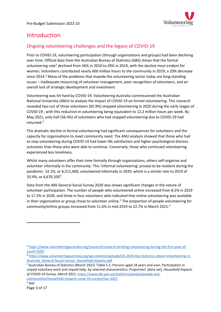

# Introduction

## Ongoing volunteering challenges and the legacy of COVID-19

Prior to COVID-19, volunteering participation (through organisations and groups) had been declining over time. Official data from the Australian Bureau of Statistics (ABS) shows that the formal volunteering rate<sup>4</sup> declined from 36% in 2010 to 29% in 2019, with the decline most evident for women. Volunteers contributed nearly 600 million hours to the community in 2019; a 20% decrease since 2014. <sup>5</sup> Many of the problems that impede the volunteering sector today are long-standing issues – inadequate resourcing of volunteer management, poor recognition of volunteers, and an overall lack of strategic development and investment.

Volunteering was hit hard by COVID-19. Volunteering Australia commissioned the Australian National University (ANU) to analyse the impact of COVID-19 on formal volunteering. This research revealed two out of three volunteers (65.9%) stopped volunteering in 2020 during the early stages of COVID-19 , with this reduction in volunteering being equivalent to 12.2 million hours per week. By May 2021, only half (56.4%) of volunteers who had stopped volunteering due to COVID-19 had returned.[3](#page-2-0)

This dramatic decline in formal volunteering had significant consequences for volunteers and the capacity for organisations to meet community need. The ANU analysis showed that those who had to stop volunteering during COVID-19 had lower life satisfaction and higher psychological distress outcomes than those who were able to continue. Conversely, those who continued volunteering experienced less loneliness.

Whilst many volunteers offer their time formally through organisations, others self-organise and volunteer informally in the community. This 'informal volunteering' proved to be resilient during the pandemic: 32.1%, or 6,511,400, volunteered informally in 2020, which is a similar rate to 2019 of 33.[4](#page-2-1)%, or 6,676,100<sup>4</sup>.

Data from the ABS General Social Survey 2020 also shows significant changes in the nature of volunteer participation. The number of people who volunteered online increased from 8.5% in 2019 to 17.3% in 2020, and three in four volunteers who indicated that online volunteering was available in their organisation or group chose to volunteer online.<sup>[5](#page-2-2)</sup> The proportion of people volunteering for community/ethnic groups increased from 11.[6](#page-2-3)% in mid-2019 to 22.7% in March 2021.<sup>6</sup>

<span id="page-2-0"></span><sup>3</sup> [https://www.volunteeringaustralia.org/research/research-briefing-volunteering-during-the-first-year-of](https://www.volunteeringaustralia.org/research/research-briefing-volunteering-during-the-first-year-of-covid-19/#/)[covid-19/#/](https://www.volunteeringaustralia.org/research/research-briefing-volunteering-during-the-first-year-of-covid-19/#/)

<span id="page-2-1"></span><sup>4</sup> [https://www.volunteeringaustralia.org/wp-content/uploads/VA-2020-Key-Statistics-about-Volunteering-in-](https://www.volunteeringaustralia.org/wp-content/uploads/VA-2020-Key-Statistics-about-Volunteering-in-Australia_General-Social-Survey_Household-Impacts.pdf)[Australia\\_General-Social-Survey\\_Household-Impacts.pdf](https://www.volunteeringaustralia.org/wp-content/uploads/VA-2020-Key-Statistics-about-Volunteering-in-Australia_General-Social-Survey_Household-Impacts.pdf)

<span id="page-2-2"></span><sup>5</sup> Australian Bureau of Statistics (March 2021) 'Table 5.1: Persons aged 18 years and over, Participation in unpaid voluntary work and unpaid help, by selected characteristics: Proportion' [data set], *Household Impacts of COVID-19 Survey, March 2021*, [https://www.abs.gov.au/statistics/people/people-and](https://www.abs.gov.au/statistics/people/people-and-communities/household-impacts-covid-19-survey/mar-2021)[communities/household-impacts-covid-19-survey/mar-2021](https://www.abs.gov.au/statistics/people/people-and-communities/household-impacts-covid-19-survey/mar-2021)

<span id="page-2-3"></span><sup>6</sup> *ibid*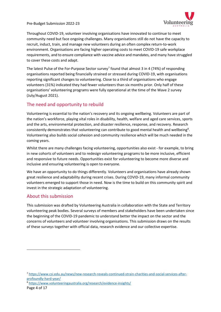

Throughout COVID-19, volunteer involving organisations have innovated to continue to meet community need but face ongoing challenges. Many organisations still do not have the capacity to recruit, induct, train, and manage new volunteers during an often complex return-to-work environment. Organisations are facing higher operating costs to meet COVID-19 safe workplace requirements, and to ensure compliance with vaccine advice and mandates, and many have struggled to cover these costs and adapt.

The latest Pulse of the For-Purpose Sector survey<sup>[7](#page-3-0)</sup> found that almost 3 in 4 (74%) of responding organisations reported being financially strained or stressed during COVID-19, with organisations reporting significant changes to volunteering. Close to a third of organisations who engage volunteers (31%) indicated they had fewer volunteers than six months prior. Only half of these organisations' volunteering programs were fully operational at the time of the Wave 2 survey (July/August 2021).

## The need and opportunity to rebuild

Volunteering is essential to the nation's recovery and its ongoing wellbeing. Volunteers are part of the nation's workforce, playing vital roles in disability, health, welfare and aged care services, sports and the arts, environmental protection, and disaster resilience, response, and recovery. Research consistently demonstrates that volunteering can contribute to good mental health and wellbeing<sup>[8](#page-3-1)</sup>. Volunteering also builds social cohesion and community resilience which will be much needed in the coming years.

Whilst there are many challenges facing volunteering, opportunities also exist - for example, to bring in new cohorts of volunteers and to redesign volunteering programs to be more inclusive, efficient and responsive to future needs. Opportunities exist for volunteering to become more diverse and inclusive and ensuring volunteering is open to everyone.

We have an opportunity to do things differently. Volunteers and organisations have already shown great resilience and adaptability during recent crises. During COVID-19, many informal community volunteers emerged to support those in need. Now is the time to build on this community spirit and invest in the strategic adaptation of volunteering.

#### About this submission

This submission was drafted by Volunteering Australia in collaboration with the State and Territory volunteering peak bodies. Several surveys of members and stakeholders have been undertaken since the beginning of the COVID-19 pandemic to understand better the impact on the sector and the concerns of volunteers and volunteer involving organisations. This submission draws on the results of these surveys together with official data, research evidence and our collective expertise.

<span id="page-3-1"></span><sup>8</sup> <https://www.volunteeringaustralia.org/research/evidence-insights/>

<span id="page-3-0"></span><sup>7</sup> [https://www.csi.edu.au/news/new-research-reveals-continued-strain-charities-and-social-services-after](https://www.csi.edu.au/news/new-research-reveals-continued-strain-charities-and-social-services-after-profoundly-hard-year/)[profoundly-hard-year/](https://www.csi.edu.au/news/new-research-reveals-continued-strain-charities-and-social-services-after-profoundly-hard-year/)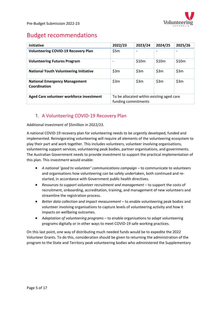

# Budget recommendations

| <b>Initiative</b>                                    | 2022/23                                                          | 2023/24 | 2024/25                  | 2025/26 |
|------------------------------------------------------|------------------------------------------------------------------|---------|--------------------------|---------|
| <b>Volunteering COVID-19 Recovery Plan</b>           | \$5m                                                             |         | $\overline{\phantom{0}}$ |         |
| <b>Volunteering Futures Program</b>                  | $\overline{\phantom{a}}$                                         | \$10m   | \$10m                    | \$10m   |
| <b>National Youth Volunteering Initiative</b>        | \$3m                                                             | \$3m    | \$3m                     | \$3m    |
| <b>National Emergency Management</b><br>Coordination | \$3m                                                             | \$3m    | \$3m                     | \$3m    |
| Aged Care volunteer workforce investment             | To be allocated within existing aged care<br>funding commitments |         |                          |         |

## 1. A Volunteering COVID-19 Recovery Plan

Additional investment of \$5million in 2022/23.

A national COVID-19 recovery plan for volunteering needs to be urgently developed, funded and implemented. Reinvigorating volunteering will require all elements of the volunteering ecosystem to play their part and work together. This includes volunteers, volunteer involving organisations, volunteering support services, volunteering peak bodies, partner organisations, and governments. The Australian Government needs to provide investment to support the practical implementation of this plan. This investment would enable:

- A national 'qood to volunteer' communications campaign to communicate to volunteers and organisations how volunteering can be safely undertaken, both continued and restarted, in accordance with Government public health directives.
- Resources to support volunteer recruitment and management to support the costs of recruitment, onboarding, accreditation, training, and management of new volunteers and streamline the registration process.
- Better data collection and impact measurement to enable volunteering peak bodies and volunteer involving organisations to capture levels of volunteering activity and how it impacts on wellbeing outcomes.
- *Adaptation of volunteering programs*  to enable organisations to adapt volunteering programs digitally or in other ways to meet COVID-19 safe working practices.

On this last point, one way of distributing much needed funds would be to expedite the 2022 Volunteer Grants. To do this, consideration should be given to returning the administration of the program to the State and Territory peak volunteering bodies who administered the Supplementary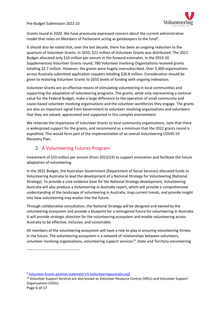

Grants round in 2020. We have previously expressed concern about the current administrative model that relies on Members of Parliament acting as gatekeepers to the fund<sup>[9](#page-5-0)</sup>.

It should also be noted that, over the last decade, there has been an ongoing reduction to the quantum of Volunteer Grants. In 2010, \$21 million of Volunteer Grants was distributed. The 2021 Budget allocated only \$10 million per annum in the forward estimates. In the 2019-20 Supplementary Volunteer Grants round, 780 Volunteer Involving Organisations received grants totalling \$2.7 million. However, the grants were hugely oversubscribed. Over 5,300 organisations across Australia submitted application requests totalling \$20.8 million. Consideration should be given to restoring Volunteer Grants to 2010 levels of funding with ongoing indexation.

Volunteer Grants are an effective means of stimulating volunteering in local communities and supporting the adaptation of volunteering programs. The grants, while only representing a nominal value for the Federal Budget, make a large difference to the operation of small community and cause-based volunteer involving organisations and the volunteer workforces they engage. The grants are also an important signal from Government to volunteer involving organisations and volunteers that they are valued, appreciated and supported in this complex environment.

We reiterate the importance of Volunteer Grants to local community organisations, note that there is widespread support for the grants, and recommend as a minimum that the 2022 grants round is expedited. This would form part of the implementation of an overall Volunteering COVID-19 Recovery Plan.

## 2. A Volunteering Futures Program

Investment of \$10 million per annum (from 2023/24) to support innovation and facilitate the future adaptation of volunteering.

In the 2021 Budget, the Australian Government (Department of Social Services) allocated funds to Volunteering Australia to lead the development of a National Strategy for Volunteering (National Strategy). To provide a core evidence base for the National Strategy development, Volunteering Australia will also produce a *Volunteering in Australia* report, which will provide a comprehensive understanding of the landscape of volunteering in Australia, map current trends, and provide insight into how volunteering may evolve into the future.

Through collaborative consultation, the National Strategy will be designed and owned by the volunteering ecosystem and provide a blueprint for a reimagined future for volunteering in Australia. It will provide strategic direction for the volunteering ecosystem and enable volunteering across Australia to be effective, inclusive, and sustainable.

All members of the volunteering ecosystem will have a role to play in ensuring volunteering thrives in the future. The volunteering ecosystem is a network of relationships between volunteers, volunteer involving organisations, volunteering support services<sup>[10](#page-5-1)</sup>, State and Territory volunteering

<span id="page-5-0"></span><sup>&</sup>lt;sup>9</sup> [Volunteer Grants position statement V3 \(volunteeringaustralia.org\)](https://www.volunteeringaustralia.org/wp-admin/admin-ajax.php?juwpfisadmin=false&action=wpfd&task=file.download&wpfd_category_id=142&wpfd_file_id=18410&token=&preview=1)

<span id="page-5-1"></span><sup>10</sup> Volunteer Support Services are also known as Volunteer Resource Centres (VRCs) and Volunteer Support Organisations (VSOs)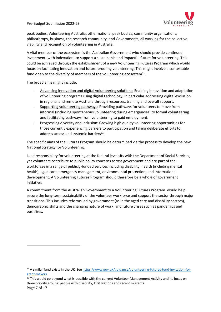

peak bodies, Volunteering Australia, other national peak bodies, community organisations, philanthropy, business, the research community, and Governments, all working for the collective viability and recognition of volunteering in Australia.

A vital member of the ecosystem is the Australian Government who should provide continued investment (with indexation) to support a sustainable and impactful future for volunteering. This could be achieved through the establishment of a new Volunteering Futures Program which would focus on facilitating innovation and future-proofing volunteering. This might involve a contestable fund open to the diversity of members of the volunteering ecosystem $^{11}$  $^{11}$  $^{11}$ .

The broad aims might include:

- Advancing innovation and digital volunteering solutions: Enabling innovation and adaptation of volunteering programs using digital technology, in particular addressing digital exclusion in regional and remote Australia through resources, training and overall support.
- Supporting volunteering pathways: Providing pathways for volunteers to move from informal (including spontaneous volunteering during emergencies) to formal volunteering and facilitating pathways from volunteering to paid employment.
- Progressing diversity and inclusion: Growing high quality volunteering opportunities for those currently experiencing barriers to participation and taking deliberate efforts to address access and systemic barriers $^{12}$  $^{12}$  $^{12}$ .

The specific aims of the Futures Program should be determined via the process to develop the new National Strategy for Volunteering.

Lead responsibility for volunteering at the federal level sits with the Department of Social Services, yet volunteers contribute to public policy concerns across government and are part of the workforces in a range of publicly-funded services including disability, health (including mental health), aged care, emergency management, environmental protection, and international development. A Volunteering Futures Program should therefore be a whole of government initiative.

A commitment from the Australian Government to a Volunteering Futures Program would help secure the long-term sustainability of the volunteer workforce and support the sector through major transitions. This includes reforms led by government (as in the aged care and disability sectors), demographic shifts and the changing nature of work, and future crises such as pandemics and bushfires.

<span id="page-6-1"></span><sup>12</sup> This would go beyond what is possible with the current Volunteer Management Activity and its focus on three priority groups: people with disability, First Nations and recent migrants.

<span id="page-6-0"></span><sup>&</sup>lt;sup>11</sup> A similar fund exists in the UK. See [https://www.gov.uk/guidance/volunteering-futures-fund-invitation-for](https://www.gov.uk/guidance/volunteering-futures-fund-invitation-for-grant-makers)[grant-makers](https://www.gov.uk/guidance/volunteering-futures-fund-invitation-for-grant-makers)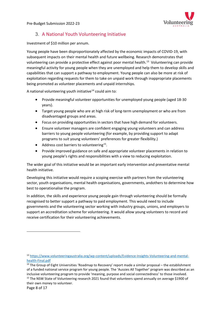

## 3. A National Youth Volunteering Initiative

Investment of \$10 million per annum.

Young people have been disproportionately affected by the economic impacts of COVID-19, with subsequent impacts on their mental health and future wellbeing. Research demonstrates that volunteering can provide a protective effect against poor mental health.<sup>[13](#page-7-0)</sup> Volunteering can provide meaningful activity for young people when they are unemployed and help them to develop skills and capabilities that can support a pathway to employment. Young people can also be more at risk of exploitation regarding requests for them to take on unpaid work through inappropriate placements being promoted as volunteer placements and unpaid internships.

A national volunteering youth initiative<sup>[14](#page-7-1)</sup> could aim to:

- Provide meaningful volunteer opportunities for unemployed young people (aged 18-30 years).
- Target young people who are at high risk of long-term unemployment or who are from disadvantaged groups and areas.
- Focus on providing opportunities in sectors that have high demand for volunteers.
- Ensure volunteer managers are confident engaging young volunteers and can address barriers to young people volunteering (for example, by providing support to adapt programs to suit young volunteers' preferences for greater flexibility.)
- Address cost barriers to volunteering<sup>15</sup>.
- Provide improved guidance on safe and appropriate volunteer placements in relation to young people's rights and responsibilities with a view to reducing exploitation.

The wider goal of this initiative would be an important early intervention and preventative mental health initiative.

Developing this initiative would require a scoping exercise with partners from the volunteering sector, youth organisations, mental health organisations, governments, andothers to determine how best to operationalise the program.

In addition, the skills and experience young people gain through volunteering should be formally recognised to better support a pathway to paid employment. This would need to include governments and the volunteering sector working with industry groups, unions, and employers to support an accreditation scheme for volunteering. It would allow young volunteers to record and receive certification for their volunteering achievements.

<span id="page-7-0"></span><sup>13</sup> [https://www.volunteeringaustralia.org/wp-content/uploads/Evidence-Insights-Volunteering-and-mental](https://www.volunteeringaustralia.org/wp-content/uploads/Evidence-Insights-Volunteering-and-mental-health-Final.pdf)[health-Final.pdf](https://www.volunteeringaustralia.org/wp-content/uploads/Evidence-Insights-Volunteering-and-mental-health-Final.pdf)

<span id="page-7-2"></span><span id="page-7-1"></span> $14$  The Group of Eight Universities 'Roadmap to Recovery' report made a similar proposal – the establishment of a funded national service program for young people. The 'Aussies All Together' program was described as an inclusive volunteering program to provide 'meaning, purpose and social connectedness' to those involved. <sup>15</sup> The NSW State of Volunteering research 2021 found that volunteers spend annually on average \$1900 of their own money to volunteer.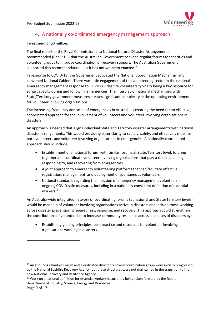

## 4. A nationally co-ordinated emergency management approach

Investment of \$3 million.

The final report of the Royal Commission into National Natural Disaster Arrangements recommended (Rec: 21.3) that the Australian Government convene regular forums for charities and volunteer groups to improve coordination of recovery support. The Australian Government supported this recommendation, but it has not yet been enacted<sup>[16](#page-8-0)</sup>.

In response to COVID-19, the Government activated the National Coordination Mechanism and convened National Cabinet. There was little engagement of the volunteering sector in the national emergency management response to COVID-19 despite volunteers typically being a key resource for surge capacity during and following emergencies. The interplay of national mechanisms with State/Territory government measures creates significant complexity in the operating environment for volunteer involving organisations.

The increasing frequency and scale of emergencies in Australia is creating the need for an effective, coordinated approach for the involvement of volunteers and volunteer involving organisations in disasters.

An approach is needed that aligns individual State and Territory disaster arrangements with national disaster arrangements. This would provide greater clarity to rapidly, safely, and effectively mobilise both volunteers and volunteer involving organisations in emergencies. A nationally coordinated approach should include:

- Establishment of a national forum, with similar forums at State/Territory level, to bring together and coordinate volunteer involving organisations that play a role in planning, responding to, and recovering from emergencies.
- A joint approach to emergency volunteering platforms that can facilitate effective registration, management, and deployment of spontaneous volunteers.
- National standards regarding the inclusion of emergency management volunteers in ongoing COVID-safe measures, including in a nationally consistent definition of essential workers $^{17}$ .

An Australia-wide integrated network of coordinating forums (at national and State/Territory levels) would be made up of volunteer involving organisations active in disasters and include those working across disaster prevention, preparedness, response, and recovery. This approach could strengthen the contributions of volunteerismto increase community resilience across all phases of disasters by:

• Establishing guiding principles, best practice and resources for volunteer involving organisations working in disasters.

<span id="page-8-0"></span><sup>&</sup>lt;sup>16</sup> An Enduring Charities Forum and a dedicated disaster recovery coordination group were initially progressed by the National Bushfire Recovery Agency, but these structures were not maintained in the transition to the new National Recovery and Resilience Agency.

<span id="page-8-1"></span><sup>&</sup>lt;sup>17</sup> Work on a national definition for essential workers is currently being taken forward by the federal Department of Industry, Science, Energy and Resources.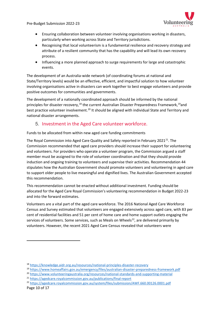

- Ensuring collaboration between volunteer involving organisations working in disasters, particularly when working across State and Territory jurisdictions.
- Recognising that local volunteerism is a fundamental resilience and recovery strategy and attribute of a resilient community that has the capability and will lead its own recovery process.
- Influencing a more planned approach to surge requirements for large and catastrophic events.

The development of an Australia-wide network (of coordinating forums at national and State/Territory levels) would be an effective, efficient, and impactful solution to how volunteer involving organisations active in disasters can work together to best engage volunteers and provide positive outcomes for communities and governments.

The development of a nationally coordinated approach should be informed by the national principles for disaster recovery,<sup>[18](#page-9-0)</sup> the current Australian Disaster Preparedness Framework,<sup>[19](#page-9-1)</sup>and best practice volunteer involvement.<sup>[20](#page-9-2)</sup> It should be aligned with individual State and Territory and national disaster arrangements.

### 5. Investment in the Aged Care volunteer workforce.

Funds to be allocated from within new aged care funding commitments

The Royal Commission into Aged Care Quality and Safety reported in February 20[21](#page-9-3) $^{21}$ . The Commission recommended that aged care providers should increase their support for volunteering and volunteers. For providers who operate a volunteer program, the Commission argued a staff member must be assigned to the role of volunteer coordination and that they should provide induction and ongoing training to volunteers and supervise their activities. Recommendation 44 stipulates how the Australian Government should promote volunteers and volunteering in aged care to support older people to live meaningful and dignified lives. The Australian Government accepted this recommendation.

This recommendation cannot be enacted without additional investment. Funding should be allocated for the Aged Care Royal Commission's volunteering recommendation in Budget 2022-23 and into the forward estimates.

Volunteers are a vital part of the aged care workforce. The 2016 National Aged Care Workforce Census and Survey estimated that volunteers are engaged extensively across aged care, with 83 per cent of residential facilities and 51 per cent of home care and home support outlets engaging the services of volunteers. Some services, such as Meals on Wheels<sup>[22](#page-9-4)</sup>, are delivered primarily by volunteers. However, the recent 2021 Aged Care Census revealed that volunteers were

<span id="page-9-0"></span><sup>18</sup> <https://knowledge.aidr.org.au/resources/national-principles-disaster-recovery>

<span id="page-9-1"></span><sup>19</sup> <https://www.homeaffairs.gov.au/emergency/files/australian-disaster-preparedness-framework.pdf>

<span id="page-9-2"></span><sup>20</sup> <https://www.volunteeringaustralia.org/resources/national-standards-and-supporting-material>

<span id="page-9-3"></span><sup>21</sup> <https://agedcare.royalcommission.gov.au/publications/final-report>

<span id="page-9-4"></span><sup>22</sup> <https://agedcare.royalcommission.gov.au/system/files/submission/AWF.660.00126.0001.pdf>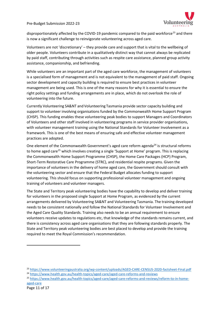

disproportionately affected by the COVID-19 pandemic compared to the paid workforce<sup>[23](#page-10-0)</sup> and there is now a significant challenge to reinvigorate volunteering across aged care.

Volunteers are not 'discretionary' – they provide care and support that is vital to the wellbeing of older people. Volunteers contribute in a qualitatively distinct way that cannot always be replicated by paid staff, contributing through activities such as respite care assistance, planned group activity assistance, companionship, and befriending.

While volunteers are an important part of the aged care workforce, the management of volunteers is a specialised form of management and is not equivalent to the management of paid staff. Ongoing sector development and capacity building is required to ensure best practices in volunteer management are being used. This is one of the many reasons for why it is essential to ensure the right policy settings and funding arrangements are in place, which do not overlook the role of volunteering into the future.

Currently Volunteering SA&NT and Volunteering Tasmania provide sector capacity building and support to volunteer involving organisations funded by the Commonwealth Home Support Program (CHSP). This funding enables these volunteering peak bodies to support Managers and Coordinators of Volunteers and other staff involved in volunteering programs in service provider organisations, with volunteer management training using the National Standards for Volunteer Involvement as a framework. This is one of the best means of ensuring safe and effective volunteer management practices are adopted.

One element of the Commonwealth Government's aged care reform agenda $^{24}$  is structural reforms to home aged care<sup>[25](#page-10-2)</sup> which involves creating a single 'Support at Home' program. This is replacing the Commonwealth Home Support Programme (CHSP), the Home Care Packages (HCP) Program, Short-Term Restorative Care Programme (STRC), and residential respite programs. Given the importance of volunteers in the delivery of home aged care, the Government should consult with the volunteering sector and ensure that the Federal Budget allocates funding to support volunteering. This should focus on supporting professional volunteer management and ongoing training of volunteers and volunteer managers.

The State and Territory peak volunteering bodies have the capability to develop and deliver training for volunteers in the proposed single Support at Home Program, as evidenced by the current arrangements delivered by Volunteering SA&NT and Volunteering Tasmania. The training developed needs to be consistent nationally and follow the National Standards for Volunteer Involvement and the Aged Care Quality Standards. Training also needs to be an annual requirement to ensure volunteers receive updates to regulations etc, that knowledge of the standards remains current, and there is consistency across aged care organisations that they are following standards properly. The State and Territory peak volunteering bodies are best placed to develop and provide the training required to meet the Royal Commission's recommendation.

<span id="page-10-0"></span><sup>23</sup> <https://www.volunteeringaustralia.org/wp-content/uploads/AGED-CARE-CENSUS-2020-factsheet-Final.pdf>

<span id="page-10-1"></span><sup>&</sup>lt;sup>24</sup> <https://www.health.gov.au/health-topics/aged-care/aged-care-reforms-and-reviews>

<span id="page-10-2"></span><sup>25</sup> [https://www.health.gov.au/health-topics/aged-care/aged-care-reforms-and-reviews/reform-to-in-home](https://www.health.gov.au/health-topics/aged-care/aged-care-reforms-and-reviews/reform-to-in-home-aged-care)[aged-care](https://www.health.gov.au/health-topics/aged-care/aged-care-reforms-and-reviews/reform-to-in-home-aged-care)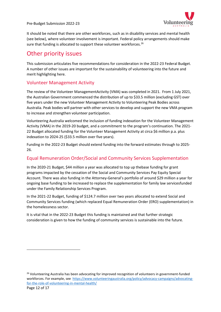Voluntee

Pre-Budget Submission 2022-23

It should be noted that there are other workforces, such as in disability services and mental health (see below), where volunteer involvement is important. Federal policy arrangements should make sure that funding is allocated to support these volunteer workforces.<sup>[26](#page-11-0)</sup>

## Other priority issues

This submission articulates five recommendations for consideration in the 2022-23 Federal Budget. A number of other issues are important for the sustainability of volunteering into the future and merit highlighting here.

### Volunteer Management Activity

The review of the Volunteer ManagementActivity (VMA) was completed in 2021. From 1 July 2021, the Australian Government commenced the distribution of up to \$33.5 million (excluding GST) over five years under the new Volunteer Management Activity to Volunteering Peak Bodies across Australia. Peak bodies will partner with other services to develop and support the new VMA program to increase and strengthen volunteer participation.

Volunteering Australia welcomed the inclusion of funding indexation for the Volunteer Management Activity (VMA) in the 2019-20 budget, and a commitment to the program's continuation. The 2021- 22 Budget allocated funding for the Volunteer Management Activity at circa \$6 million p.a. plus indexation to 2024-25 (\$33.5 million over five years).

Funding in the 2022-23 Budget should extend funding into the forward estimates through to 2025- 26.

## Equal Remuneration Order/Social and Community Services Supplementation

In the 2020-21 Budget, \$44 million a year was allocated to top up thebase funding for grant programs impacted by the cessation of the Social and Community Services Pay Equity Special Account. There was also funding in the Attorney-General's portfolio of around \$29 million a year for ongoing base funding to be increased to replace the supplementation for family law servicesfunded under the Family Relationship Services Program.

In the 2021-22 Budget, funding of \$124.7 million over two years allocated to extend Social and Community Services funding (which replaced Equal Remuneration Order (ERO) supplementation) in the homelessness sector.

It is vital that in the 2022-23 Budget this funding is maintained and that further strategic consideration is given to how the funding of community services is sustainable into the future.

<span id="page-11-0"></span><sup>&</sup>lt;sup>26</sup> Volunteering Australia has been advocating for improved recognition of volunteers in government-funded workforces. For example, see [https://www.volunteeringaustralia.org/policy/advocacy-campaigns/advocating](https://www.volunteeringaustralia.org/policy/advocacy-campaigns/advocating-for-the-role-of-volunteering-in-mental-health/)[for-the-role-of-volunteering-in-mental-health/](https://www.volunteeringaustralia.org/policy/advocacy-campaigns/advocating-for-the-role-of-volunteering-in-mental-health/)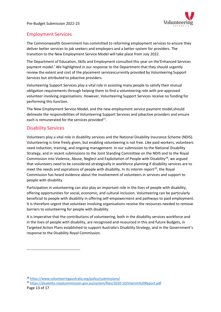

## Employment Services

The Commonwealth Government has committed to reforming employment services to ensure they deliver better services to job seekers and employers and a better system for providers. The transition to the New Employment Service Model will take place from July 2022.

The Department of Education, Skills and Employment consulted this year on the'Enhanced Services payment model.' We highlighted in our response to the Department that they should urgently review the extent and cost of the placement servicescurrently provided by Volunteering Support Services but attributed to jobactive providers.

Volunteering Support Services play a vital role in assisting many people to satisfy their mutual obligation requirements through helping them to find a volunteering role with pre-approved volunteer involving organisations. However, Volunteering Support Services receive no funding for performing this function.

The New Employment Service Model, and the new employment service payment model,should delineate the responsibilities of Volunteering Support Services and jobactive providers and ensure each is remunerated for the services provided $^{27}$ .

## Disability Services

Volunteers play a vital role in disability services and the National Disability Insurance Scheme (NDIS). Volunteering is time freely given, but enabling volunteering is not free. Like paid workers, volunteers need induction, training, and ongoing management. In our submission to the National Disability Strategy, and in recent submissions to the Joint Standing Committee on the NDIS and to the Royal Commission into Violence, Abuse, Neglect and Exploitation of People with Disability<sup>[28](#page-12-1)</sup>, we argued that volunteers need to be considered strategically in workforce planning if disability services are to meet the needs and aspirations of people with disability. In its interim report<sup>[29](#page-12-2)</sup>, the Roval Commission has heard evidence about the involvement of volunteers in services and support to people with disability.

Participation in volunteering can also play an important role in the lives of people with disability, offering opportunities for social, economic, and cultural inclusion. Volunteering can be particularly beneficial to people with disability in offering self-empowerment and pathways to paid employment. It is therefore urgent that volunteer involving organisations receive the resources needed to remove barriers to volunteering for people with disability.

It is imperative that the contributions of volunteering, both in the disability services workforce and in the lives of people with disability, are recognised and resourced in this and future Budgets, in Targeted Action Plans established to support Australia's Disability Strategy, and in the Government's response to the Disability Royal Commission.

<span id="page-12-1"></span><span id="page-12-0"></span><sup>28</sup> <https://www.volunteeringaustralia.org/policy/submissions/>

<span id="page-12-2"></span><sup>29</sup> <https://disability.royalcommission.gov.au/system/files/2020-10/Interim%20Report.pdf>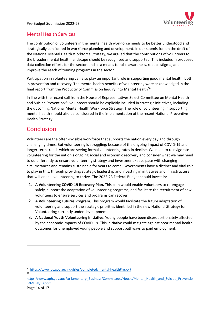

## Mental Health Services

The contribution of volunteers in the mental health workforce needs to be better understood and strategically considered in workforce planning and development. In our submission on the draft of the National Mental Health Workforce Strategy, we argued that the contributions of volunteers to the broader mental health landscape should be recognised and supported. This includes in proposed data collection efforts for the sector, and as a means to raise awareness, reduce stigma, and improve the reach of training programs in the sector.

Participation in volunteering can also play an important role in supporting good mental health, both in prevention and recovery. The mental health benefits of volunteering were acknowledged in the final report from the Productivity Commission Inquiry into Mental Health<sup>30</sup>.

In line with the recent call from the House of Representatives Select Committee on Mental Health and Suicide Prevention<sup>[31](#page-13-1)</sup>, volunteers should be explicitly included in strategic initiatives, including the upcoming National Mental Health Workforce Strategy. The role of volunteering in supporting mental health should also be considered in the implementation of the recent National Preventive Health Strategy.

# Conclusion

Volunteers are the often-invisible workforce that supports the nation every day and through challenging times. But volunteering is struggling; because of the ongoing impact of COVID-19 and longer-term trends which are seeing formal volunteering rates in decline. We need to reinvigorate volunteering for the nation's ongoing social and economic recovery and consider what we may need to do differently to ensure volunteering strategy and investment keeps pace with changing circumstances and remains sustainable for years to come. Governments have a distinct and vital role to play in this, through providing strategic leadership and investing in initiatives and infrastructure that will enable volunteering to thrive. The 2022-23 Federal Budget should invest in:

- 1. **A Volunteering COVID-19 Recovery Plan.** This plan would enable volunteers to re-engage safely, support the adaptation of volunteering programs, and facilitate the recruitment of new volunteers to ensure services and programs can recover.
- 2. **A Volunteering Futures Program.** This program would facilitate the future adaptation of volunteering and support the strategic priorities identified in the new National Strategy for Volunteering currently under development.
- 3. **A National Youth Volunteering Initiative**. Young people have been disproportionately affected by the economic impacts of COVID-19. This initiative could mitigate against poor mental health outcomes for unemployed young people and support pathways to paid employment.

<span id="page-13-0"></span><sup>30</sup> <https://www.pc.gov.au/inquiries/completed/mental-health#report> 31

<span id="page-13-1"></span>[https://www.aph.gov.au/Parliamentary\\_Business/Committees/House/Mental\\_Health\\_and\\_Suicide\\_Preventio](https://www.aph.gov.au/Parliamentary_Business/Committees/House/Mental_Health_and_Suicide_Prevention/MHSP/Report) [n/MHSP/Report](https://www.aph.gov.au/Parliamentary_Business/Committees/House/Mental_Health_and_Suicide_Prevention/MHSP/Report)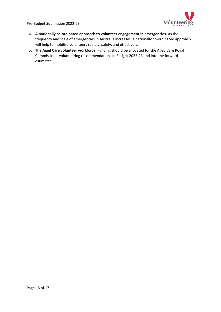

- 4. **A nationally co-ordinated approach to volunteer engagement in emergencies.** As the frequency and scale of emergencies in Australia increases, a nationally co-ordinated approach will help to mobilise volunteers rapidly, safely, and effectively.
- 5. **The Aged Care volunteer workforce**. Funding should be allocated for the Aged Care Royal Commission's volunteering recommendations in Budget 2022-23 and into the forward estimates.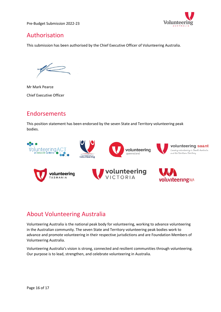

# Authorisation

This submission has been authorised by the Chief Executive Officer of Volunteering Australia.

Mr Mark Pearce Chief Executive Officer

# Endorsements

This position statement has been endorsed by the seven State and Territory volunteering peak bodies.



## About Volunteering Australia

Volunteering Australia is the national peak body for volunteering, working to advance volunteering in the Australian community. The seven State and Territory volunteering peak bodies work to advance and promote volunteering in their respective jurisdictions and are Foundation Members of Volunteering Australia.

Volunteering Australia's vision is strong, connected and resilient communities through volunteering. Our purpose is to lead, strengthen, and celebrate volunteering in Australia.